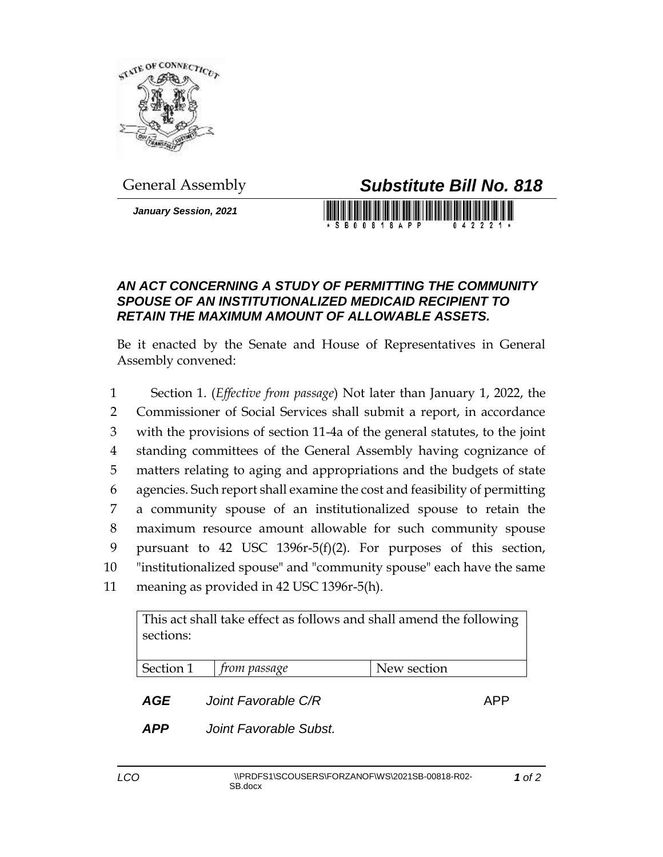

*January Session, 2021*

## General Assembly *Substitute Bill No. 818*

S B 0 0 8 1 8 A P P

## *AN ACT CONCERNING A STUDY OF PERMITTING THE COMMUNITY SPOUSE OF AN INSTITUTIONALIZED MEDICAID RECIPIENT TO RETAIN THE MAXIMUM AMOUNT OF ALLOWABLE ASSETS.*

Be it enacted by the Senate and House of Representatives in General Assembly convened:

 Section 1. (*Effective from passage*) Not later than January 1, 2022, the Commissioner of Social Services shall submit a report, in accordance with the provisions of section 11-4a of the general statutes, to the joint standing committees of the General Assembly having cognizance of matters relating to aging and appropriations and the budgets of state agencies. Such report shall examine the cost and feasibility of permitting a community spouse of an institutionalized spouse to retain the maximum resource amount allowable for such community spouse pursuant to 42 USC 1396r-5(f)(2). For purposes of this section, "institutionalized spouse" and "community spouse" each have the same meaning as provided in 42 USC 1396r-5(h).

| This act shall take effect as follows and shall amend the following<br>sections: |                     |             |
|----------------------------------------------------------------------------------|---------------------|-------------|
| Section 1                                                                        | <i>from passage</i> | New section |
| AGE                                                                              | Joint Favorable C/R |             |

*APP Joint Favorable Subst.*

*1 of 2*